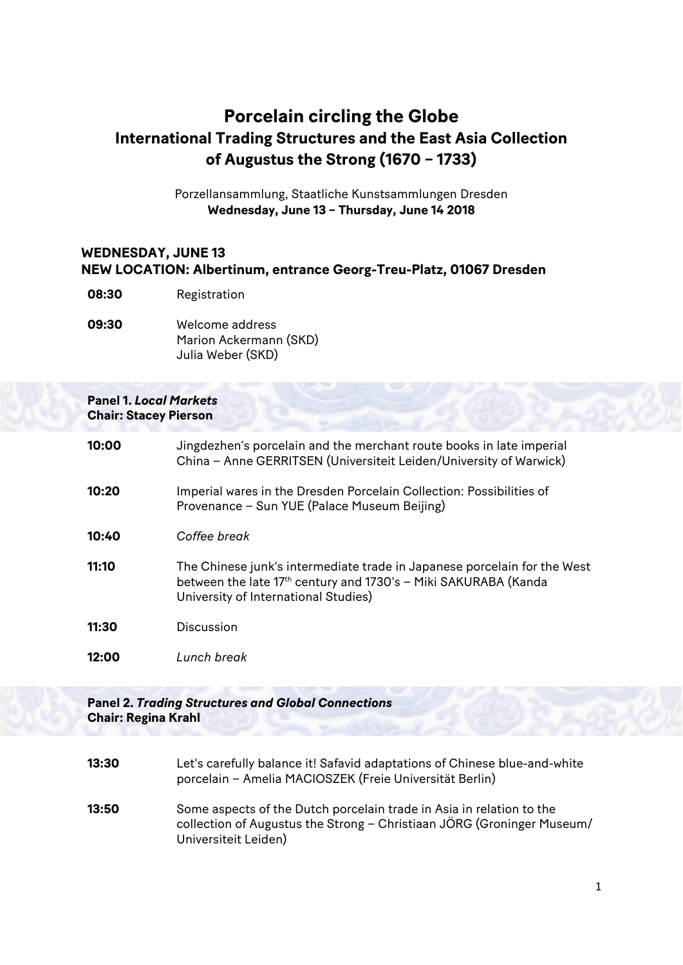# **Porcelain circling the Globe International Trading Structures and the East Asia Collection of Augustus the Strong (1670 – 1733)**

Porzellansammlung, Staatliche Kunstsammlungen Dresden **Wednesday, June 13 – Thursday, June 14 2018**

## **WEDNESDAY, JUNE 13 NEW LOCATION: Albertinum, entrance Georg-Treu-Platz, 01067 Dresden**

- **08:30** Registration
- **09:30** Welcome address Marion Ackermann (SKD) Julia Weber (SKD)

#### **Panel 1.** *Local Markets* **Chair: Stacey Pierson**

| 10:00 | Jingdezhen's porcelain and the merchant route books in late imperial<br>China - Anne GERRITSEN (Universiteit Leiden/University of Warwick)                                          |
|-------|-------------------------------------------------------------------------------------------------------------------------------------------------------------------------------------|
| 10:20 | Imperial wares in the Dresden Porcelain Collection: Possibilities of<br>Provenance - Sun YUE (Palace Museum Beijing)                                                                |
| 10:40 | Coffee break                                                                                                                                                                        |
| 11:10 | The Chinese junk's intermediate trade in Japanese porcelain for the West<br>between the late 17th century and 1730's - Miki SAKURABA (Kanda<br>University of International Studies) |
| 11:30 | Discussion                                                                                                                                                                          |
| 12:00 | Lunch break                                                                                                                                                                         |
|       |                                                                                                                                                                                     |

#### **Panel 2.** *Trading Structures and Global Connections* **Chair: Regina Krahl**

- **13:30** Let's carefully balance it! Safavid adaptations of Chinese blue-and-white porcelain – Amelia MACIOSZEK (Freie Universität Berlin)
- **13:50** Some aspects of the Dutch porcelain trade in Asia in relation to the collection of Augustus the Strong – Christiaan JÖRG (Groninger Museum/ Universiteit Leiden)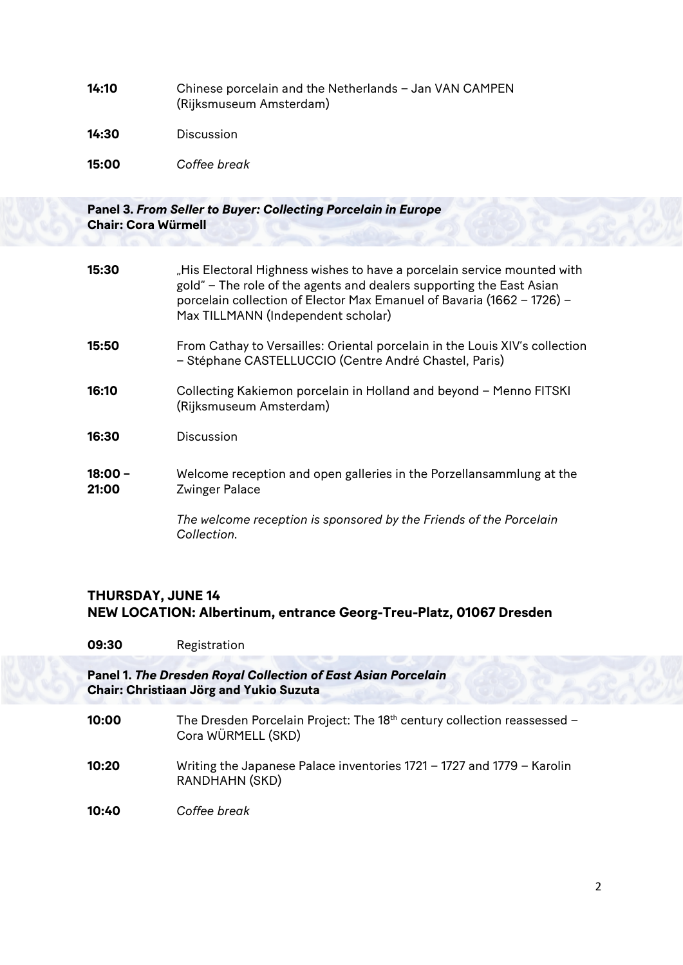**14:10** Chinese porcelain and the Netherlands – Jan VAN CAMPEN (Rijksmuseum Amsterdam)

**14:30** Discussion

**15:00** *Coffee break*

### **Panel 3.** *From Seller to Buyer: Collecting Porcelain in Europe* **Chair: Cora Würmell**

| 15:30            | "His Electoral Highness wishes to have a porcelain service mounted with<br>gold" – The role of the agents and dealers supporting the East Asian<br>porcelain collection of Elector Max Emanuel of Bavaria (1662 - 1726) -<br>Max TILLMANN (Independent scholar) |
|------------------|-----------------------------------------------------------------------------------------------------------------------------------------------------------------------------------------------------------------------------------------------------------------|
| 15:50            | From Cathay to Versailles: Oriental porcelain in the Louis XIV's collection<br>- Stéphane CASTELLUCCIO (Centre André Chastel, Paris)                                                                                                                            |
| 16:10            | Collecting Kakiemon porcelain in Holland and beyond - Menno FITSKI<br>(Rijksmuseum Amsterdam)                                                                                                                                                                   |
| 16:30            | Discussion                                                                                                                                                                                                                                                      |
| 18:00 -<br>21:00 | Welcome reception and open galleries in the Porzellansammlung at the<br><b>Zwinger Palace</b>                                                                                                                                                                   |
|                  | The welcome reception is sponsored by the Friends of the Porcelain<br>Collection.                                                                                                                                                                               |

## **THURSDAY, JUNE 14 NEW LOCATION: Albertinum, entrance Georg-Treu-Platz, 01067 Dresden**

**09:30** Registration

#### **Panel 1.** *The Dresden Royal Collection of East Asian Porcelain* **Chair: Christiaan Jörg and Yukio Suzuta**

- **10:00** The Dresden Porcelain Project: The 18<sup>th</sup> century collection reassessed Cora WÜRMELL (SKD)
- **10:20** Writing the Japanese Palace inventories 1721 1727 and 1779 Karolin RANDHAHN (SKD)
- **10:40** *Coffee break*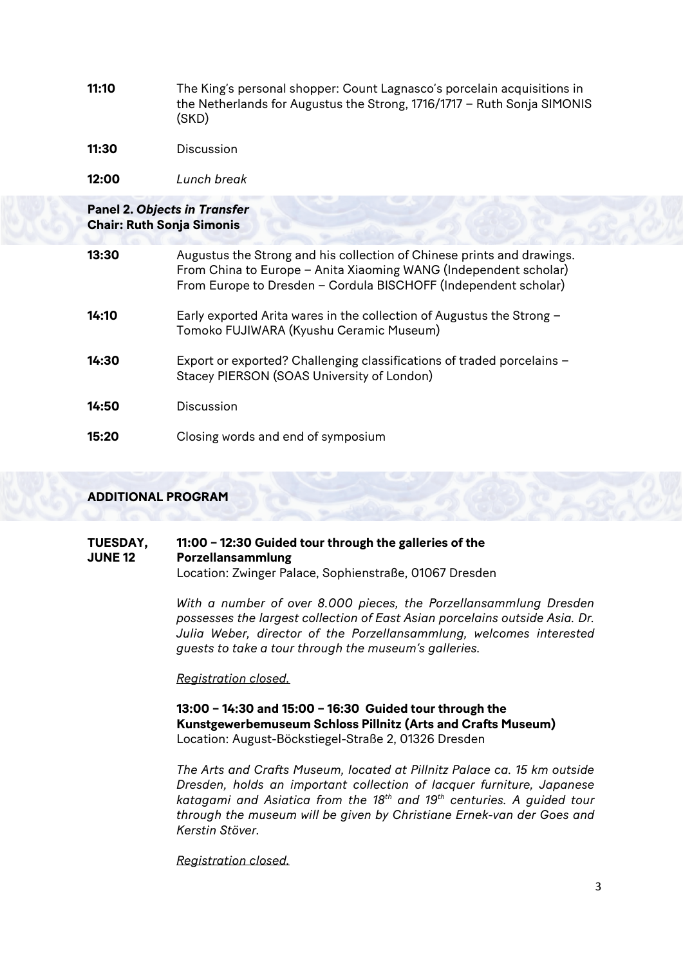**11:10** The King's personal shopper: Count Lagnasco's porcelain acquisitions in the Netherlands for Augustus the Strong, 1716/1717 – Ruth Sonja SIMONIS (SKD)

**11:30** Discussion

**12:00** *Lunch break*

# **Panel 2.** *Objects in Transfer* **Chair: Ruth Sonja Simonis**

| 13:30 | Augustus the Strong and his collection of Chinese prints and drawings.<br>From China to Europe - Anita Xiaoming WANG (Independent scholar)<br>From Europe to Dresden - Cordula BISCHOFF (Independent scholar) |
|-------|---------------------------------------------------------------------------------------------------------------------------------------------------------------------------------------------------------------|
| 14:10 | Early exported Arita wares in the collection of Augustus the Strong -<br>Tomoko FUJIWARA (Kyushu Ceramic Museum)                                                                                              |
| 14:30 | Export or exported? Challenging classifications of traded porcelains -<br>Stacey PIERSON (SOAS University of London)                                                                                          |
| 14:50 | Discussion                                                                                                                                                                                                    |
| 15:20 | Closing words and end of symposium                                                                                                                                                                            |

### **ADDITIONAL PROGRAM**

#### **TUESDAY, JUNE 12 11:00 – 12:30 Guided tour through the galleries of the Porzellansammlung** Location: Zwinger Palace, Sophienstraße, 01067 Dresden

*With a number of over 8.000 pieces, the Porzellansammlung Dresden possesses the largest collection of East Asian porcelains outside Asia. Dr. Julia Weber, director of the Porzellansammlung, welcomes interested guests to take a tour through the museum's galleries.* 

*Registration closed.* 

### **13:00 – 14:30 and 15:00 – 16:30 Guided tour through the Kunstgewerbemuseum Schloss Pillnitz (Arts and Crafts Museum)** Location: August-Böckstiegel-Straße 2, 01326 Dresden

*The Arts and Crafts Museum, located at Pillnitz Palace ca. 15 km outside Dresden, holds an important collection of lacquer furniture, Japanese katagami and Asiatica from the 18th and 19th centuries. A guided tour through the museum will be given by Christiane Ernek-van der Goes and Kerstin Stöver.*

*Registration closed.*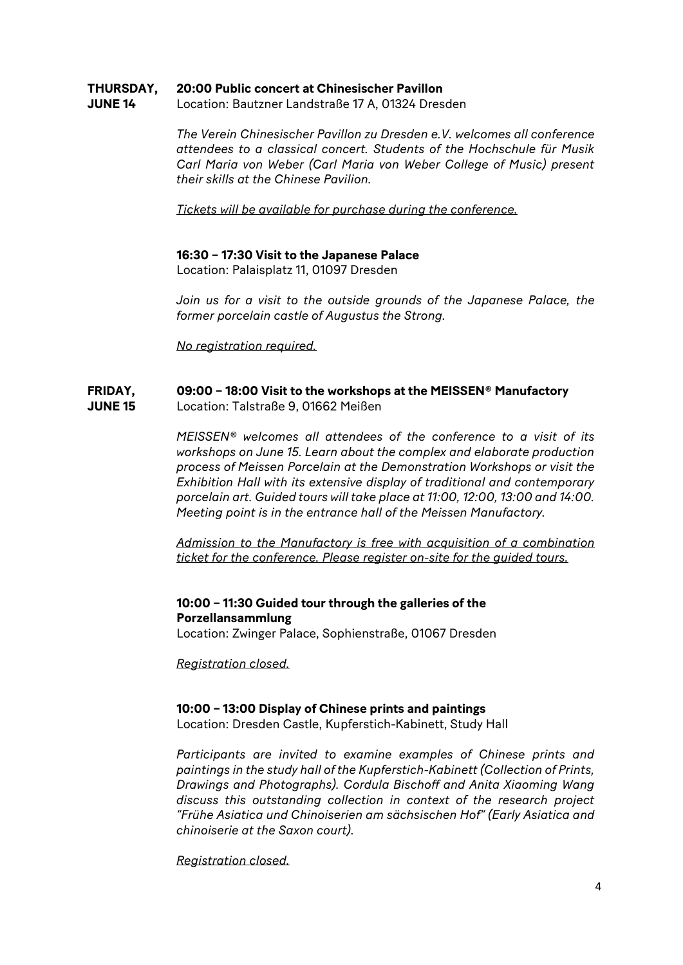#### **THURSDAY, 20:00 Public concert at Chinesischer Pavillon**

**JUNE 14** Location: Bautzner Landstraße 17 A, 01324 Dresden

> *The Verein Chinesischer Pavillon zu Dresden e.V. welcomes all conference attendees to a classical concert. Students of the Hochschule für Musik Carl Maria von Weber (Carl Maria von Weber College of Music) present their skills at the Chinese Pavilion.*

*Tickets will be available for purchase during the conference.*

#### **16:30 – 17:30 Visit to the Japanese Palace**

Location: Palaisplatz 11, 01097 Dresden

*Join us for a visit to the outside grounds of the Japanese Palace, the former porcelain castle of Augustus the Strong.*

*No registration required.*

#### **FRIDAY, JUNE 15 09:00 – 18:00 Visit to the workshops at the MEISSEN® Manufactory**  Location: Talstraße 9, 01662 Meißen

*MEISSEN® welcomes all attendees of the conference to a visit of its workshops on June 15. Learn about the complex and elaborate production process of Meissen Porcelain at the Demonstration Workshops or visit the Exhibition Hall with its extensive display of traditional and contemporary porcelain art. Guided tours will take place at 11:00, 12:00, 13:00 and 14:00. Meeting point is in the entrance hall of the Meissen Manufactory.*

*Admission to the Manufactory is free with acquisition of a combination ticket for the conference. Please register on-site for the guided tours.*

## **10:00 – 11:30 Guided tour through the galleries of the Porzellansammlung**

Location: Zwinger Palace, Sophienstraße, 01067 Dresden

*Registration closed.*

# **10:00 – 13:00 Display of Chinese prints and paintings**

Location: Dresden Castle, Kupferstich-Kabinett, Study Hall

*Participants are invited to examine examples of Chinese prints and paintings in the study hall of the Kupferstich-Kabinett (Collection of Prints, Drawings and Photographs). Cordula Bischoff and Anita Xiaoming Wang discuss this outstanding collection in context of the research project "Frühe Asiatica und Chinoiserien am sächsischen Hof" (Early Asiatica and chinoiserie at the Saxon court).*

*Registration closed.*